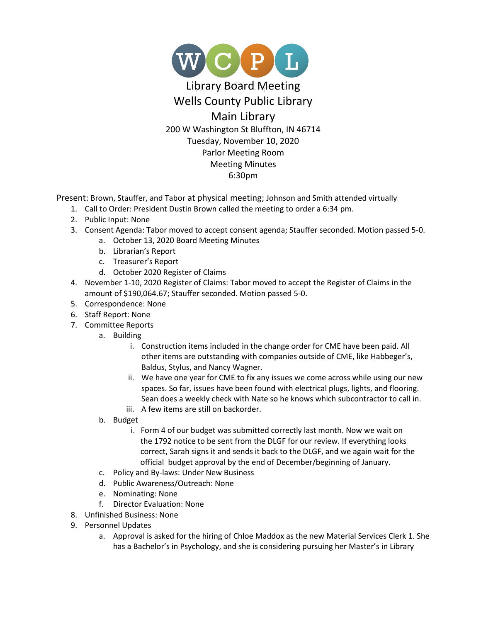

Present: Brown, Stauffer, and Tabor at physical meeting; Johnson and Smith attended virtually

- 1. Call to Order: President Dustin Brown called the meeting to order a 6:34 pm.
- 2. Public Input: None
- 3. Consent Agenda: Tabor moved to accept consent agenda; Stauffer seconded. Motion passed 5-0.
	- a. October 13, 2020 Board Meeting Minutes
	- b. Librarian's Report
	- c. Treasurer's Report
	- d. October 2020 Register of Claims
- 4. November 1-10, 2020 Register of Claims: Tabor moved to accept the Register of Claims in the amount of \$190,064.67; Stauffer seconded. Motion passed 5-0.
- 5. Correspondence: None
- 6. Staff Report: None
- 7. Committee Reports
	- a. Building
		- i. Construction items included in the change order for CME have been paid. All other items are outstanding with companies outside of CME, like Habbeger's, Baldus, Stylus, and Nancy Wagner.
		- ii. We have one year for CME to fix any issues we come across while using our new spaces. So far, issues have been found with electrical plugs, lights, and flooring. Sean does a weekly check with Nate so he knows which subcontractor to call in.
		- iii. A few items are still on backorder.
	- b. Budget
		- i. Form 4 of our budget was submitted correctly last month. Now we wait on the 1792 notice to be sent from the DLGF for our review. If everything looks correct, Sarah signs it and sends it back to the DLGF, and we again wait for the official budget approval by the end of December/beginning of January.
	- c. Policy and By-laws: Under New Business
	- d. Public Awareness/Outreach: None
	- e. Nominating: None
	- f. Director Evaluation: None
- 8. Unfinished Business: None
- 9. Personnel Updates
	- a. Approval is asked for the hiring of Chloe Maddox as the new Material Services Clerk 1. She has a Bachelor's in Psychology, and she is considering pursuing her Master's in Library